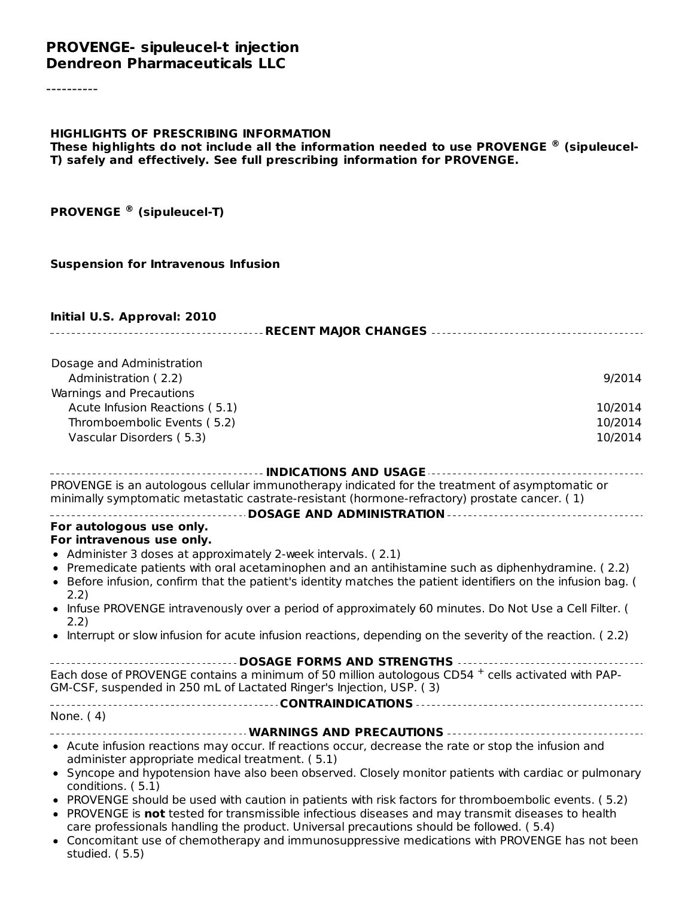#### **PROVENGE- sipuleucel-t injection Dendreon Pharmaceuticals LLC**

----------

#### **HIGHLIGHTS OF PRESCRIBING INFORMATION**

**These highlights do not include all the information needed to use PROVENGE (sipuleucel-® T) safely and effectively. See full prescribing information for PROVENGE.**

**PROVENGE (sipuleucel-T) ®**

#### **Suspension for Intravenous Infusion**

#### **Initial U.S. Approval: 2010**

| Dosage and Administration<br>Administration (2.2)                                                                                                                   | 9/2014  |
|---------------------------------------------------------------------------------------------------------------------------------------------------------------------|---------|
| Warnings and Precautions                                                                                                                                            |         |
| Acute Infusion Reactions (5.1)                                                                                                                                      | 10/2014 |
| Thromboembolic Events (5.2)                                                                                                                                         | 10/2014 |
| Vascular Disorders (5.3)                                                                                                                                            | 10/2014 |
|                                                                                                                                                                     |         |
| -------------------------------- INDICATIONS AND USAGE -----------------------------------                                                                          |         |
| PROVENGE is an autologous cellular immunotherapy indicated for the treatment of asymptomatic or                                                                     |         |
| minimally symptomatic metastatic castrate-resistant (hormone-refractory) prostate cancer. (1)                                                                       |         |
|                                                                                                                                                                     |         |
| For autologous use only.                                                                                                                                            |         |
| For intravenous use only.                                                                                                                                           |         |
| • Administer 3 doses at approximately 2-week intervals. (2.1)<br>• Premedicate patients with oral acetaminophen and an antihistamine such as diphenhydramine. (2.2) |         |
| • Before infusion, confirm that the patient's identity matches the patient identifiers on the infusion bag. (                                                       |         |
| 2.2)                                                                                                                                                                |         |
| • Infuse PROVENGE intravenously over a period of approximately 60 minutes. Do Not Use a Cell Filter. (                                                              |         |
| 2.2)                                                                                                                                                                |         |
| • Interrupt or slow infusion for acute infusion reactions, depending on the severity of the reaction. (2.2)                                                         |         |
| DOSAGE FORMS AND STRENGTHS                                                                                                                                          |         |
| Each dose of PROVENGE contains a minimum of 50 million autologous CD54 + cells activated with PAP-                                                                  |         |
| GM-CSF, suspended in 250 mL of Lactated Ringer's Injection, USP. (3)                                                                                                |         |
|                                                                                                                                                                     |         |
| None. (4)                                                                                                                                                           |         |
| • Acute infusion reactions may occur. If reactions occur, decrease the rate or stop the infusion and                                                                |         |
| administer appropriate medical treatment. (5.1)                                                                                                                     |         |
| • Syncope and hypotension have also been observed. Closely monitor patients with cardiac or pulmonary                                                               |         |
| conditions. (5.1)                                                                                                                                                   |         |
| . PROVENGE should be used with caution in patients with risk factors for thromboembolic events. (5.2)                                                               |         |
| • PROVENGE is not tested for transmissible infectious diseases and may transmit diseases to health                                                                  |         |
| care professionals handling the product. Universal precautions should be followed. (5.4)                                                                            |         |
| • Concomitant use of chemotherapy and immunosuppressive medications with PROVENGE has not been<br>studied. (5.5)                                                    |         |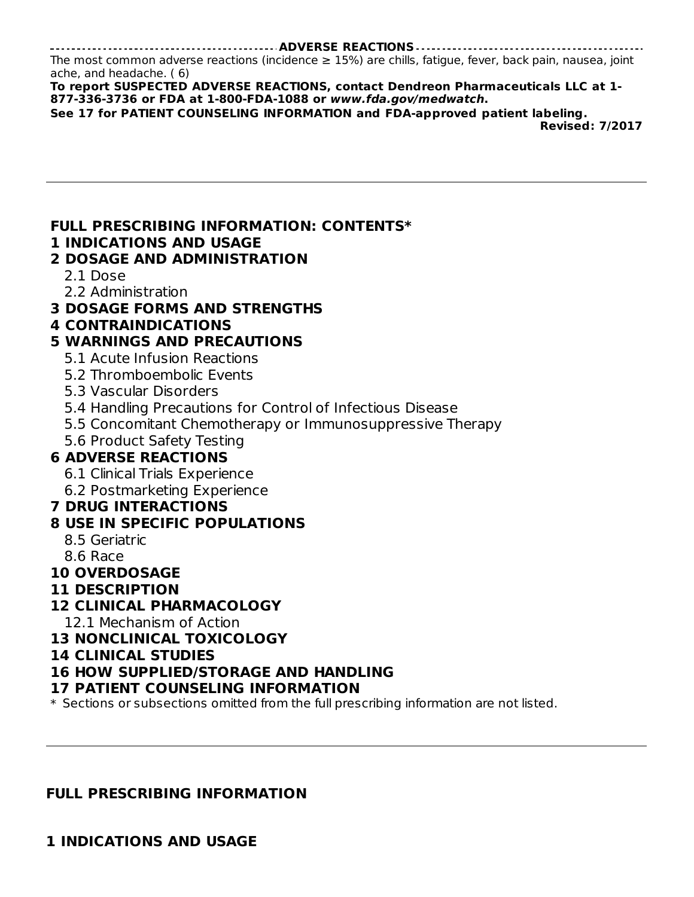The most common adverse reactions (incidence  $\geq$  15%) are chills, fatigue, fever, back pain, nausea, joint ache, and headache. ( 6)

**To report SUSPECTED ADVERSE REACTIONS, contact Dendreon Pharmaceuticals LLC at 1- 877-336-3736 or FDA at 1-800-FDA-1088 or www.fda.gov/medwatch.**

**See 17 for PATIENT COUNSELING INFORMATION and FDA-approved patient labeling.**

**Revised: 7/2017**

#### **FULL PRESCRIBING INFORMATION: CONTENTS\***

#### **1 INDICATIONS AND USAGE**

#### **2 DOSAGE AND ADMINISTRATION**

- 2.1 Dose
- 2.2 Administration
- **3 DOSAGE FORMS AND STRENGTHS**

#### **4 CONTRAINDICATIONS**

#### **5 WARNINGS AND PRECAUTIONS**

- 5.1 Acute Infusion Reactions
- 5.2 Thromboembolic Events
- 5.3 Vascular Disorders
- 5.4 Handling Precautions for Control of Infectious Disease
- 5.5 Concomitant Chemotherapy or Immunosuppressive Therapy
- 5.6 Product Safety Testing

#### **6 ADVERSE REACTIONS**

- 6.1 Clinical Trials Experience
- 6.2 Postmarketing Experience

#### **7 DRUG INTERACTIONS**

#### **8 USE IN SPECIFIC POPULATIONS**

- 8.5 Geriatric
- 8.6 Race

#### **10 OVERDOSAGE**

**11 DESCRIPTION**

#### **12 CLINICAL PHARMACOLOGY**

12.1 Mechanism of Action

#### **13 NONCLINICAL TOXICOLOGY**

#### **14 CLINICAL STUDIES**

#### **16 HOW SUPPLIED/STORAGE AND HANDLING**

#### **17 PATIENT COUNSELING INFORMATION**

\* Sections or subsections omitted from the full prescribing information are not listed.

#### **FULL PRESCRIBING INFORMATION**

**1 INDICATIONS AND USAGE**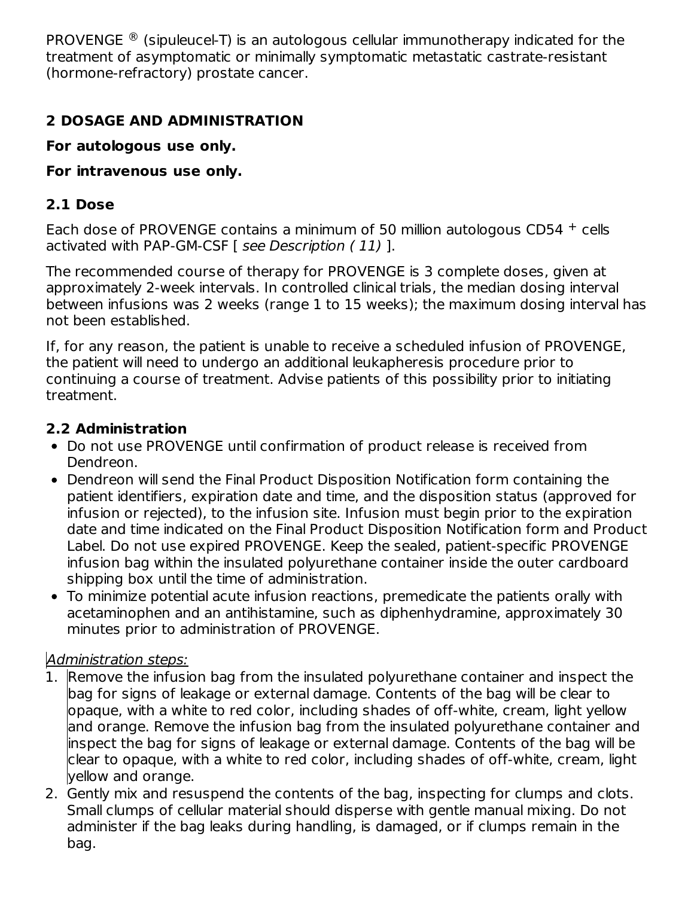PROVENGE  $\mathcal{P}$  (sipuleucel-T) is an autologous cellular immunotherapy indicated for the treatment of asymptomatic or minimally symptomatic metastatic castrate-resistant (hormone-refractory) prostate cancer.

## **2 DOSAGE AND ADMINISTRATION**

**For autologous use only.**

## **For intravenous use only.**

## **2.1 Dose**

Each dose of PROVENGE contains a minimum of 50 million autologous  $CD54 +$  cells activated with PAP-GM-CSF [ see Description (11) ].

The recommended course of therapy for PROVENGE is 3 complete doses, given at approximately 2-week intervals. In controlled clinical trials, the median dosing interval between infusions was 2 weeks (range 1 to 15 weeks); the maximum dosing interval has not been established.

If, for any reason, the patient is unable to receive a scheduled infusion of PROVENGE, the patient will need to undergo an additional leukapheresis procedure prior to continuing a course of treatment. Advise patients of this possibility prior to initiating treatment.

## **2.2 Administration**

- Do not use PROVENGE until confirmation of product release is received from Dendreon.
- Dendreon will send the Final Product Disposition Notification form containing the patient identifiers, expiration date and time, and the disposition status (approved for infusion or rejected), to the infusion site. Infusion must begin prior to the expiration date and time indicated on the Final Product Disposition Notification form and Product Label. Do not use expired PROVENGE. Keep the sealed, patient-specific PROVENGE infusion bag within the insulated polyurethane container inside the outer cardboard shipping box until the time of administration.
- To minimize potential acute infusion reactions, premedicate the patients orally with acetaminophen and an antihistamine, such as diphenhydramine, approximately 30 minutes prior to administration of PROVENGE.

## Administration steps:

- 1. Remove the infusion bag from the insulated polyurethane container and inspect the bag for signs of leakage or external damage. Contents of the bag will be clear to opaque, with a white to red color, including shades of off-white, cream, light yellow and orange. Remove the infusion bag from the insulated polyurethane container and inspect the bag for signs of leakage or external damage. Contents of the bag will be clear to opaque, with a white to red color, including shades of off-white, cream, light yellow and orange.
- 2. Gently mix and resuspend the contents of the bag, inspecting for clumps and clots. Small clumps of cellular material should disperse with gentle manual mixing. Do not administer if the bag leaks during handling, is damaged, or if clumps remain in the bag.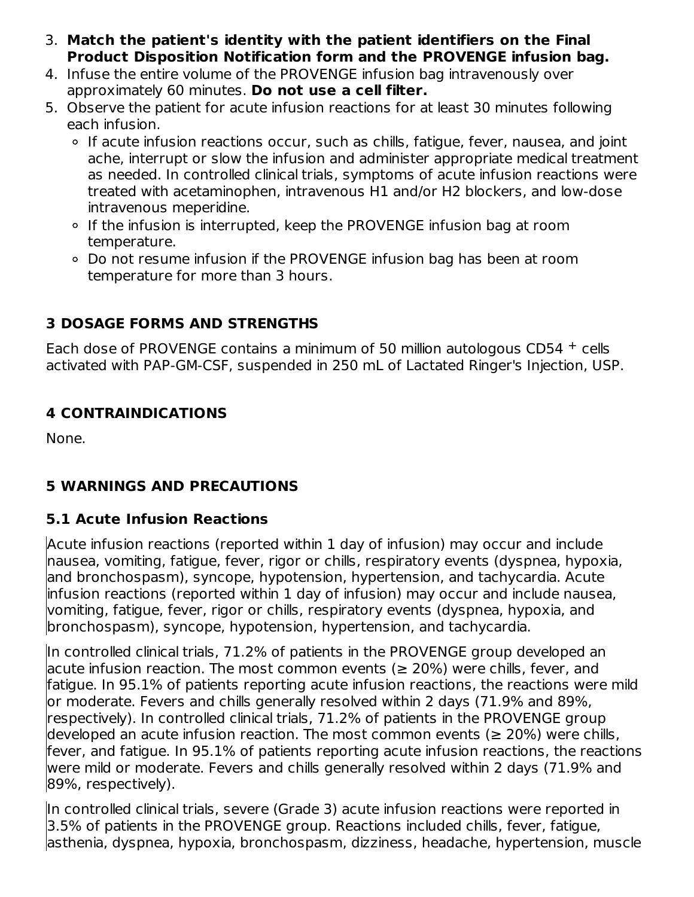- 3. **Match the patient's identity with the patient identifiers on the Final Product Disposition Notification form and the PROVENGE infusion bag.**
- 4. Infuse the entire volume of the PROVENGE infusion bag intravenously over approximately 60 minutes. **Do not use a cell filter.**
- 5. Observe the patient for acute infusion reactions for at least 30 minutes following each infusion.
	- o If acute infusion reactions occur, such as chills, fatigue, fever, nausea, and joint ache, interrupt or slow the infusion and administer appropriate medical treatment as needed. In controlled clinical trials, symptoms of acute infusion reactions were treated with acetaminophen, intravenous H1 and/or H2 blockers, and low-dose intravenous meperidine.
	- o If the infusion is interrupted, keep the PROVENGE infusion bag at room temperature.
	- Do not resume infusion if the PROVENGE infusion bag has been at room temperature for more than 3 hours.

#### **3 DOSAGE FORMS AND STRENGTHS**

Each dose of PROVENGE contains a minimum of 50 million autologous  $CD54 +$  cells activated with PAP-GM-CSF, suspended in 250 mL of Lactated Ringer's Injection, USP.

#### **4 CONTRAINDICATIONS**

None.

#### **5 WARNINGS AND PRECAUTIONS**

## **5.1 Acute Infusion Reactions**

Acute infusion reactions (reported within 1 day of infusion) may occur and include nausea, vomiting, fatigue, fever, rigor or chills, respiratory events (dyspnea, hypoxia, and bronchospasm), syncope, hypotension, hypertension, and tachycardia. Acute infusion reactions (reported within 1 day of infusion) may occur and include nausea, vomiting, fatigue, fever, rigor or chills, respiratory events (dyspnea, hypoxia, and bronchospasm), syncope, hypotension, hypertension, and tachycardia.

In controlled clinical trials, 71.2% of patients in the PROVENGE group developed an lacute infusion reaction. The most common events ( $\geq 20\%$ ) were chills, fever, and fatigue. In 95.1% of patients reporting acute infusion reactions, the reactions were mild or moderate. Fevers and chills generally resolved within 2 days (71.9% and 89%, respectively). In controlled clinical trials, 71.2% of patients in the PROVENGE group developed an acute infusion reaction. The most common events ( $\geq 20\%$ ) were chills, fever, and fatigue. In 95.1% of patients reporting acute infusion reactions, the reactions were mild or moderate. Fevers and chills generally resolved within 2 days (71.9% and 89%, respectively).

In controlled clinical trials, severe (Grade 3) acute infusion reactions were reported in 3.5% of patients in the PROVENGE group. Reactions included chills, fever, fatigue, asthenia, dyspnea, hypoxia, bronchospasm, dizziness, headache, hypertension, muscle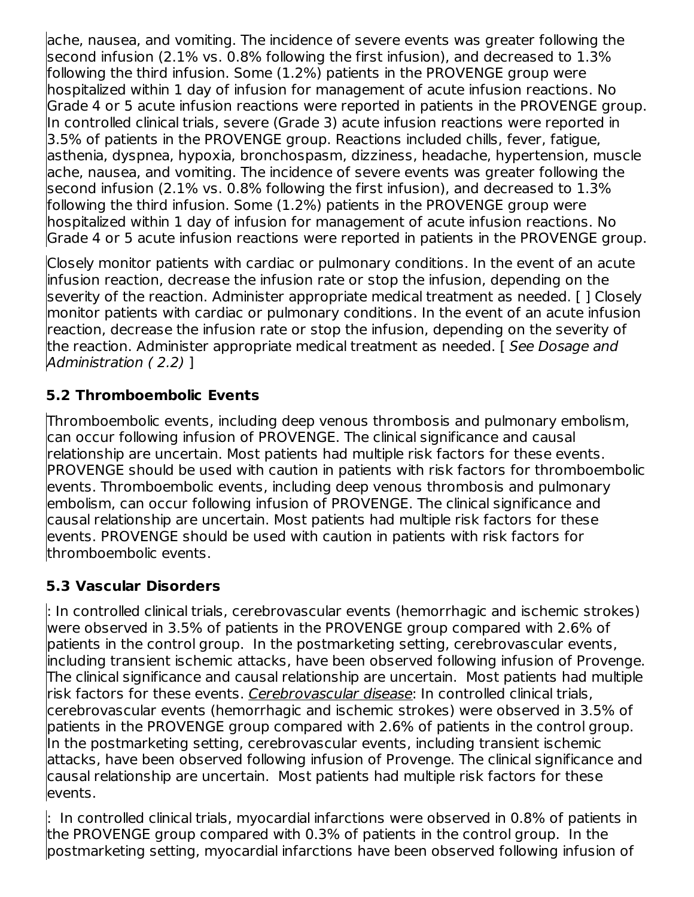ache, nausea, and vomiting. The incidence of severe events was greater following the <code>second</code> infusion (2.1% vs. 0.8% following the first infusion), and decreased to  $1.3\%$ following the third infusion. Some (1.2%) patients in the PROVENGE group were hospitalized within 1 day of infusion for management of acute infusion reactions. No Grade 4 or 5 acute infusion reactions were reported in patients in the PROVENGE group. In controlled clinical trials, severe (Grade 3) acute infusion reactions were reported in 3.5% of patients in the PROVENGE group. Reactions included chills, fever, fatigue, asthenia, dyspnea, hypoxia, bronchospasm, dizziness, headache, hypertension, muscle ache, nausea, and vomiting. The incidence of severe events was greater following the second infusion (2.1% vs. 0.8% following the first infusion), and decreased to 1.3% following the third infusion. Some (1.2%) patients in the PROVENGE group were hospitalized within 1 day of infusion for management of acute infusion reactions. No Grade 4 or 5 acute infusion reactions were reported in patients in the PROVENGE group.

Closely monitor patients with cardiac or pulmonary conditions. In the event of an acute infusion reaction, decrease the infusion rate or stop the infusion, depending on the severity of the reaction. Administer appropriate medical treatment as needed. [ ] Closely monitor patients with cardiac or pulmonary conditions. In the event of an acute infusion reaction, decrease the infusion rate or stop the infusion, depending on the severity of the reaction. Administer appropriate medical treatment as needed. [See Dosage and Administration ( 2.2) ]

#### **5.2 Thromboembolic Events**

Thromboembolic events, including deep venous thrombosis and pulmonary embolism, can occur following infusion of PROVENGE. The clinical significance and causal relationship are uncertain. Most patients had multiple risk factors for these events. PROVENGE should be used with caution in patients with risk factors for thromboembolic events. Thromboembolic events, including deep venous thrombosis and pulmonary embolism, can occur following infusion of PROVENGE. The clinical significance and causal relationship are uncertain. Most patients had multiple risk factors for these events. PROVENGE should be used with caution in patients with risk factors for thromboembolic events.

#### **5.3 Vascular Disorders**

: In controlled clinical trials, cerebrovascular events (hemorrhagic and ischemic strokes) were observed in 3.5% of patients in the PROVENGE group compared with 2.6% of patients in the control group. In the postmarketing setting, cerebrovascular events, including transient ischemic attacks, have been observed following infusion of Provenge. The clinical significance and causal relationship are uncertain. Most patients had multiple risk factors for these events. <u>Cerebrovascular disease</u>: In controlled clinical trials, cerebrovascular events (hemorrhagic and ischemic strokes) were observed in 3.5% of patients in the PROVENGE group compared with 2.6% of patients in the control group. In the postmarketing setting, cerebrovascular events, including transient ischemic attacks, have been observed following infusion of Provenge. The clinical significance and causal relationship are uncertain. Most patients had multiple risk factors for these events.

: In controlled clinical trials, myocardial infarctions were observed in 0.8% of patients in the PROVENGE group compared with 0.3% of patients in the control group. In the postmarketing setting, myocardial infarctions have been observed following infusion of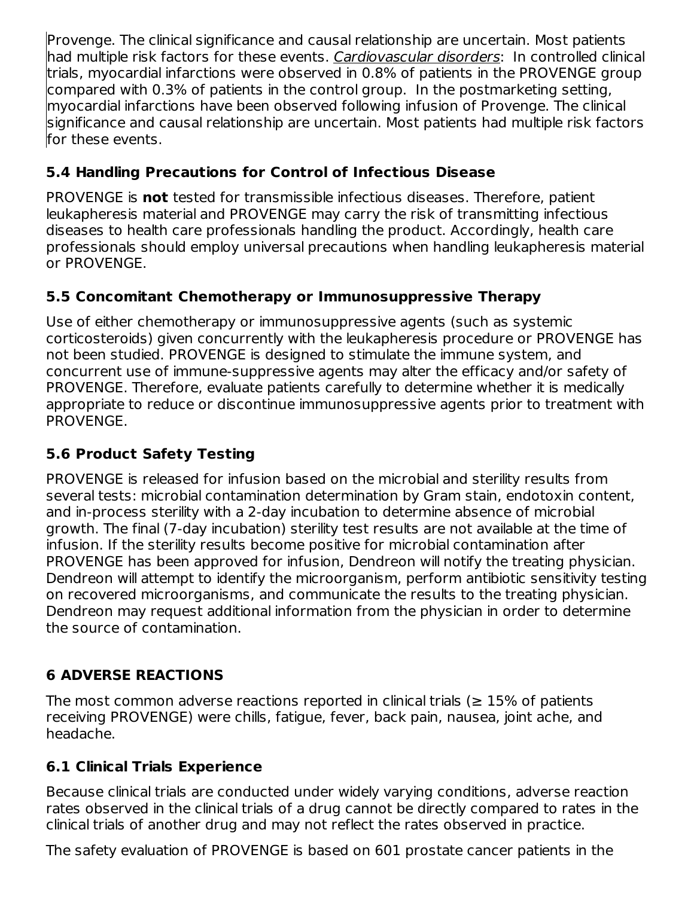Provenge. The clinical significance and causal relationship are uncertain. Most patients had multiple risk factors for these events. Cardiovascular disorders: In controlled clinical trials, myocardial infarctions were observed in 0.8% of patients in the PROVENGE group compared with 0.3% of patients in the control group. In the postmarketing setting, myocardial infarctions have been observed following infusion of Provenge. The clinical significance and causal relationship are uncertain. Most patients had multiple risk factors for these events.

## **5.4 Handling Precautions for Control of Infectious Disease**

PROVENGE is **not** tested for transmissible infectious diseases. Therefore, patient leukapheresis material and PROVENGE may carry the risk of transmitting infectious diseases to health care professionals handling the product. Accordingly, health care professionals should employ universal precautions when handling leukapheresis material or PROVENGE.

## **5.5 Concomitant Chemotherapy or Immunosuppressive Therapy**

Use of either chemotherapy or immunosuppressive agents (such as systemic corticosteroids) given concurrently with the leukapheresis procedure or PROVENGE has not been studied. PROVENGE is designed to stimulate the immune system, and concurrent use of immune-suppressive agents may alter the efficacy and/or safety of PROVENGE. Therefore, evaluate patients carefully to determine whether it is medically appropriate to reduce or discontinue immunosuppressive agents prior to treatment with PROVENGE.

## **5.6 Product Safety Testing**

PROVENGE is released for infusion based on the microbial and sterility results from several tests: microbial contamination determination by Gram stain, endotoxin content, and in-process sterility with a 2-day incubation to determine absence of microbial growth. The final (7-day incubation) sterility test results are not available at the time of infusion. If the sterility results become positive for microbial contamination after PROVENGE has been approved for infusion, Dendreon will notify the treating physician. Dendreon will attempt to identify the microorganism, perform antibiotic sensitivity testing on recovered microorganisms, and communicate the results to the treating physician. Dendreon may request additional information from the physician in order to determine the source of contamination.

## **6 ADVERSE REACTIONS**

The most common adverse reactions reported in clinical trials ( $\geq 15\%$  of patients receiving PROVENGE) were chills, fatigue, fever, back pain, nausea, joint ache, and headache.

## **6.1 Clinical Trials Experience**

Because clinical trials are conducted under widely varying conditions, adverse reaction rates observed in the clinical trials of a drug cannot be directly compared to rates in the clinical trials of another drug and may not reflect the rates observed in practice.

The safety evaluation of PROVENGE is based on 601 prostate cancer patients in the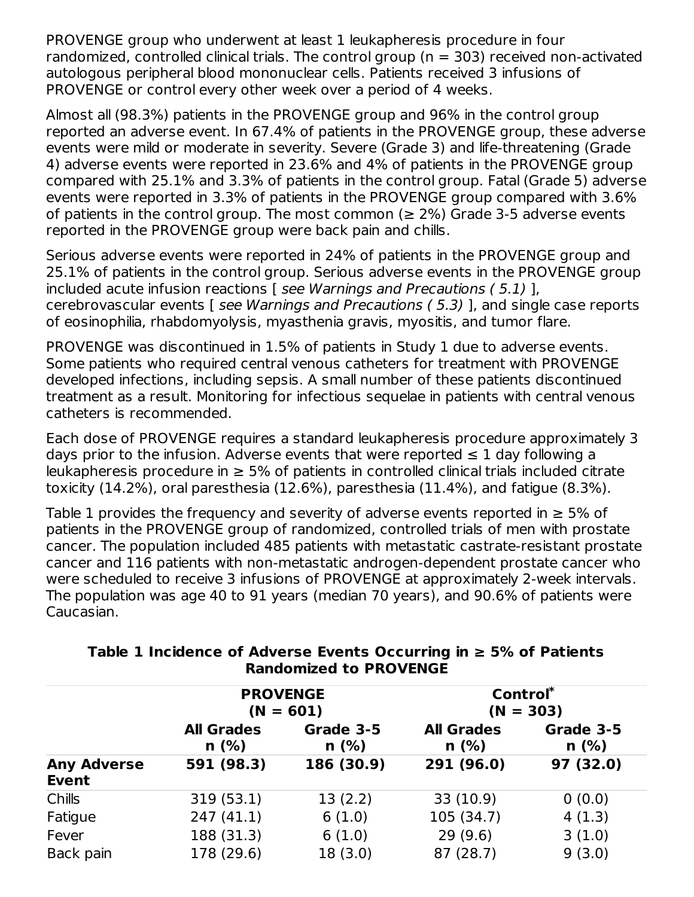PROVENGE group who underwent at least 1 leukapheresis procedure in four randomized, controlled clinical trials. The control group ( $n = 303$ ) received non-activated autologous peripheral blood mononuclear cells. Patients received 3 infusions of PROVENGE or control every other week over a period of 4 weeks.

Almost all (98.3%) patients in the PROVENGE group and 96% in the control group reported an adverse event. In 67.4% of patients in the PROVENGE group, these adverse events were mild or moderate in severity. Severe (Grade 3) and life-threatening (Grade 4) adverse events were reported in 23.6% and 4% of patients in the PROVENGE group compared with 25.1% and 3.3% of patients in the control group. Fatal (Grade 5) adverse events were reported in 3.3% of patients in the PROVENGE group compared with 3.6% of patients in the control group. The most common ( $\geq$  2%) Grade 3-5 adverse events reported in the PROVENGE group were back pain and chills.

Serious adverse events were reported in 24% of patients in the PROVENGE group and 25.1% of patients in the control group. Serious adverse events in the PROVENGE group included acute infusion reactions  $\overline{I}$  see Warnings and Precautions (5.1) 1. cerebrovascular events [ see Warnings and Precautions ( 5.3) ], and single case reports of eosinophilia, rhabdomyolysis, myasthenia gravis, myositis, and tumor flare.

PROVENGE was discontinued in 1.5% of patients in Study 1 due to adverse events. Some patients who required central venous catheters for treatment with PROVENGE developed infections, including sepsis. A small number of these patients discontinued treatment as a result. Monitoring for infectious sequelae in patients with central venous catheters is recommended.

Each dose of PROVENGE requires a standard leukapheresis procedure approximately 3 days prior to the infusion. Adverse events that were reported  $\leq 1$  day following a leukapheresis procedure in  $\geq$  5% of patients in controlled clinical trials included citrate toxicity (14.2%), oral paresthesia (12.6%), paresthesia (11.4%), and fatigue (8.3%).

Table 1 provides the frequency and severity of adverse events reported in  $\geq 5\%$  of patients in the PROVENGE group of randomized, controlled trials of men with prostate cancer. The population included 485 patients with metastatic castrate-resistant prostate cancer and 116 patients with non-metastatic androgen-dependent prostate cancer who were scheduled to receive 3 infusions of PROVENGE at approximately 2-week intervals. The population was age 40 to 91 years (median 70 years), and 90.6% of patients were Caucasian.

|                                    | <b>PROVENGE</b>           | $(N = 601)$       | Control*<br>$(N = 303)$   |                   |  |
|------------------------------------|---------------------------|-------------------|---------------------------|-------------------|--|
|                                    | <b>All Grades</b><br>n(%) | Grade 3-5<br>n(%) | <b>All Grades</b><br>n(%) | Grade 3-5<br>n(%) |  |
| <b>Any Adverse</b><br><b>Event</b> | 591 (98.3)                | 186 (30.9)        | 291 (96.0)                | 97 (32.0)         |  |
| Chills                             | 319 (53.1)                | 13(2.2)           | 33 (10.9)                 | 0(0.0)            |  |
| Fatigue                            | 247(41.1)                 | 6(1.0)            | 105 (34.7)                | 4(1.3)            |  |
| Fever                              | 188 (31.3)                | 6(1.0)            | 29(9.6)                   | 3(1.0)            |  |
| Back pain                          | 178 (29.6)                | 18(3.0)           | 87 (28.7)                 | 9(3.0)            |  |

#### **Table 1 Incidence of Adverse Events Occurring in ≥ 5% of Patients Randomized to PROVENGE**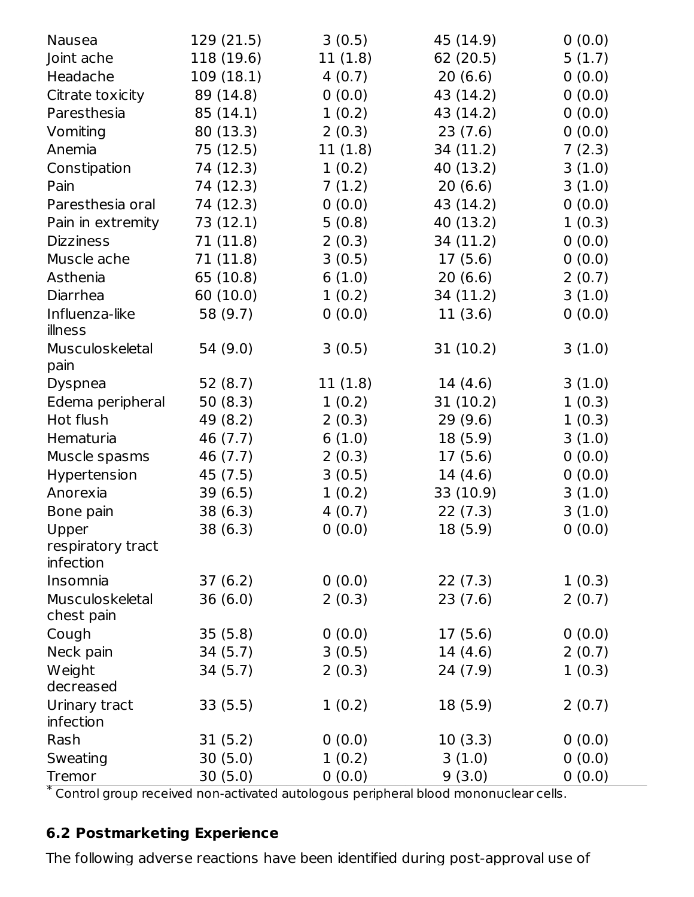| <b>Nausea</b>                                                                        | 129 (21.5) | 3(0.5)  | 45 (14.9) | 0(0.0) |
|--------------------------------------------------------------------------------------|------------|---------|-----------|--------|
| Joint ache                                                                           | 118 (19.6) | 11(1.8) | 62 (20.5) | 5(1.7) |
| Headache                                                                             | 109 (18.1) | 4(0.7)  | 20(6.6)   | 0(0.0) |
| Citrate toxicity                                                                     | 89 (14.8)  | 0(0.0)  | 43 (14.2) | 0(0.0) |
| Paresthesia                                                                          | 85 (14.1)  | 1(0.2)  | 43 (14.2) | 0(0.0) |
| Vomiting                                                                             | 80 (13.3)  | 2(0.3)  | 23(7.6)   | 0(0.0) |
| Anemia                                                                               | 75 (12.5)  | 11(1.8) | 34 (11.2) | 7(2.3) |
| Constipation                                                                         | 74 (12.3)  | 1(0.2)  | 40 (13.2) | 3(1.0) |
| Pain                                                                                 | 74 (12.3)  | 7(1.2)  | 20(6.6)   | 3(1.0) |
| Paresthesia oral                                                                     | 74 (12.3)  | 0(0.0)  | 43 (14.2) | 0(0.0) |
| Pain in extremity                                                                    | 73 (12.1)  | 5(0.8)  | 40 (13.2) | 1(0.3) |
| <b>Dizziness</b>                                                                     | 71 (11.8)  | 2(0.3)  | 34 (11.2) | 0(0.0) |
| Muscle ache                                                                          | 71 (11.8)  | 3(0.5)  | 17 (5.6)  | 0(0.0) |
| Asthenia                                                                             | 65 (10.8)  | 6(1.0)  | 20(6.6)   | 2(0.7) |
| Diarrhea                                                                             | 60 (10.0)  | 1(0.2)  | 34 (11.2) | 3(1.0) |
| Influenza-like                                                                       | 58 (9.7)   | 0(0.0)  | 11(3.6)   | 0(0.0) |
| illness                                                                              |            |         |           |        |
| Musculoskeletal                                                                      | 54 (9.0)   | 3(0.5)  | 31 (10.2) | 3(1.0) |
| pain                                                                                 |            |         |           |        |
| <b>Dyspnea</b>                                                                       | 52 (8.7)   | 11(1.8) | 14 (4.6)  | 3(1.0) |
| Edema peripheral                                                                     | 50 (8.3)   | 1(0.2)  | 31(10.2)  | 1(0.3) |
| Hot flush                                                                            | 49 (8.2)   | 2(0.3)  | 29 (9.6)  | 1(0.3) |
| Hematuria                                                                            | 46 (7.7)   | 6(1.0)  | 18 (5.9)  | 3(1.0) |
| Muscle spasms                                                                        | 46 (7.7)   | 2(0.3)  | 17 (5.6)  | 0(0.0) |
| Hypertension                                                                         | 45 (7.5)   | 3(0.5)  | 14 (4.6)  | 0(0.0) |
| Anorexia                                                                             | 39 (6.5)   | 1(0.2)  | 33 (10.9) | 3(1.0) |
| Bone pain                                                                            | 38 (6.3)   | 4(0.7)  | 22 (7.3)  | 3(1.0) |
| Upper                                                                                | 38 (6.3)   | 0(0.0)  | 18 (5.9)  | 0(0.0) |
| respiratory tract                                                                    |            |         |           |        |
| infection                                                                            |            |         |           |        |
| Insomnia                                                                             | 37(6.2)    | 0(0.0)  | 22(7.3)   | 1(0.3) |
| Musculoskeletal                                                                      | 36(6.0)    | 2(0.3)  | 23 (7.6)  | 2(0.7) |
| chest pain                                                                           |            |         |           |        |
| Cough                                                                                | 35(5.8)    | 0(0.0)  | 17(5.6)   | 0(0.0) |
| Neck pain                                                                            | 34(5.7)    | 3(0.5)  | 14 (4.6)  | 2(0.7) |
| Weight                                                                               | 34(5.7)    | 2(0.3)  | 24 (7.9)  | 1(0.3) |
| decreased                                                                            |            |         |           |        |
| Urinary tract<br>infection                                                           | 33(5.5)    | 1(0.2)  | 18(5.9)   | 2(0.7) |
| Rash                                                                                 | 31(5.2)    | 0(0.0)  | 10(3.3)   | 0(0.0) |
| Sweating                                                                             | 30(5.0)    | 1(0.2)  | 3(1.0)    | 0(0.0) |
| Tremor                                                                               | 30(5.0)    | 0(0.0)  | 9(3.0)    | 0(0.0) |
| * Control group received non-activated autologous peripheral blood mononuclear cells |            |         |           |        |

Control group received non-activated autologous peripheral blood mononuclear cells.

## **6.2 Postmarketing Experience**

The following adverse reactions have been identified during post-approval use of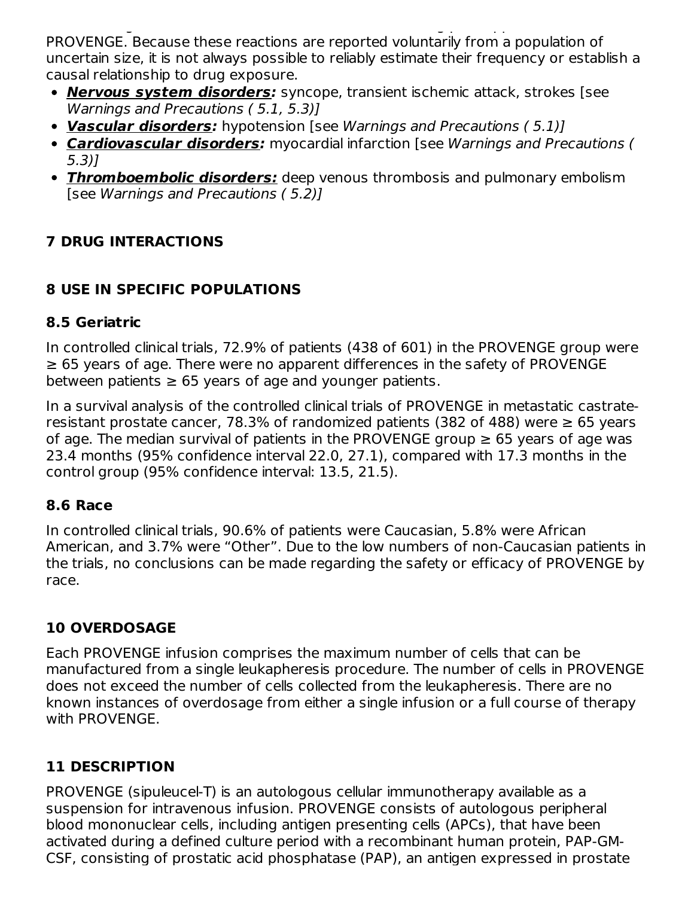The following adverse reactions have been identified during post-approval use of PROVENGE. Because these reactions are reported voluntarily from a population of uncertain size, it is not always possible to reliably estimate their frequency or establish a causal relationship to drug exposure.

- **Nervous system disorders:** syncope, transient ischemic attack, strokes [see Warnings and Precautions ( 5.1, 5.3)]
- **Vascular disorders:** hypotension [see Warnings and Precautions ( 5.1)]
- **Cardiovascular disorders:** myocardial infarction [see Warnings and Precautions ( 5.3)]
- **Thromboembolic disorders:** deep venous thrombosis and pulmonary embolism [see Warnings and Precautions ( 5.2)]

## **7 DRUG INTERACTIONS**

## **8 USE IN SPECIFIC POPULATIONS**

#### **8.5 Geriatric**

In controlled clinical trials, 72.9% of patients (438 of 601) in the PROVENGE group were ≥ 65 years of age. There were no apparent differences in the safety of PROVENGE between patients  $\geq 65$  years of age and younger patients.

In a survival analysis of the controlled clinical trials of PROVENGE in metastatic castrateresistant prostate cancer, 78.3% of randomized patients (382 of 488) were  $\geq$  65 years of age. The median survival of patients in the PROVENGE group  $\geq 65$  years of age was 23.4 months (95% confidence interval 22.0, 27.1), compared with 17.3 months in the control group (95% confidence interval: 13.5, 21.5).

#### **8.6 Race**

In controlled clinical trials, 90.6% of patients were Caucasian, 5.8% were African American, and 3.7% were "Other". Due to the low numbers of non-Caucasian patients in the trials, no conclusions can be made regarding the safety or efficacy of PROVENGE by race.

## **10 OVERDOSAGE**

Each PROVENGE infusion comprises the maximum number of cells that can be manufactured from a single leukapheresis procedure. The number of cells in PROVENGE does not exceed the number of cells collected from the leukapheresis. There are no known instances of overdosage from either a single infusion or a full course of therapy with PROVENGE.

## **11 DESCRIPTION**

PROVENGE (sipuleucel-T) is an autologous cellular immunotherapy available as a suspension for intravenous infusion. PROVENGE consists of autologous peripheral blood mononuclear cells, including antigen presenting cells (APCs), that have been activated during a defined culture period with a recombinant human protein, PAP-GM-CSF, consisting of prostatic acid phosphatase (PAP), an antigen expressed in prostate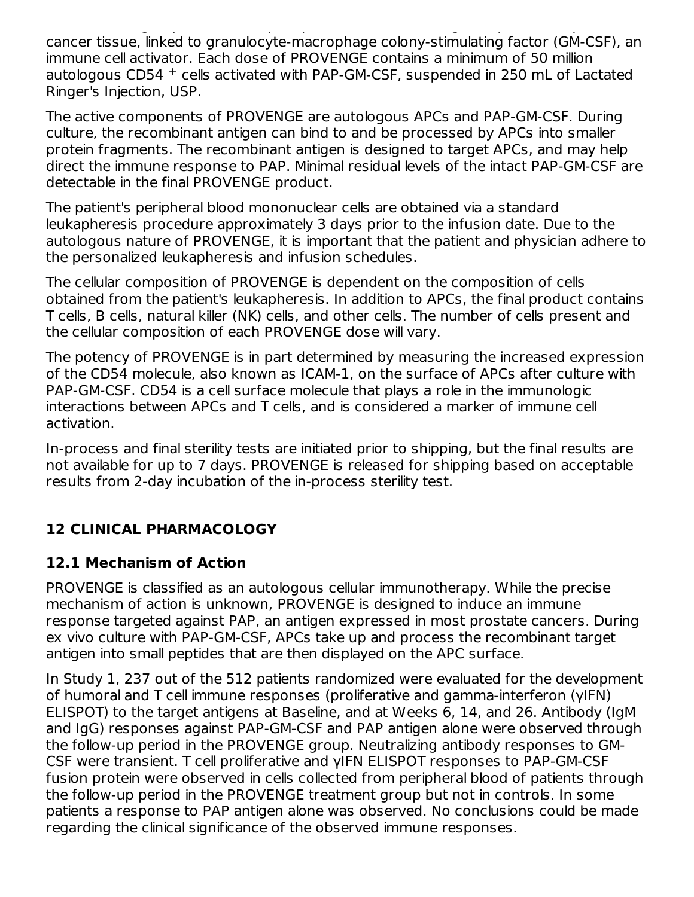CSF, consisting of prostatic acid phosphatase (PAP), an antigen expressed in prostate cancer tissue, linked to granulocyte-macrophage colony-stimulating factor (GM-CSF), an immune cell activator. Each dose of PROVENGE contains a minimum of 50 million autologous CD54 + cells activated with PAP-GM-CSF, suspended in 250 mL of Lactated Ringer's Injection, USP.

The active components of PROVENGE are autologous APCs and PAP-GM-CSF. During culture, the recombinant antigen can bind to and be processed by APCs into smaller protein fragments. The recombinant antigen is designed to target APCs, and may help direct the immune response to PAP. Minimal residual levels of the intact PAP-GM-CSF are detectable in the final PROVENGE product.

The patient's peripheral blood mononuclear cells are obtained via a standard leukapheresis procedure approximately 3 days prior to the infusion date. Due to the autologous nature of PROVENGE, it is important that the patient and physician adhere to the personalized leukapheresis and infusion schedules.

The cellular composition of PROVENGE is dependent on the composition of cells obtained from the patient's leukapheresis. In addition to APCs, the final product contains T cells, B cells, natural killer (NK) cells, and other cells. The number of cells present and the cellular composition of each PROVENGE dose will vary.

The potency of PROVENGE is in part determined by measuring the increased expression of the CD54 molecule, also known as ICAM-1, on the surface of APCs after culture with PAP-GM-CSF. CD54 is a cell surface molecule that plays a role in the immunologic interactions between APCs and T cells, and is considered a marker of immune cell activation.

In-process and final sterility tests are initiated prior to shipping, but the final results are not available for up to 7 days. PROVENGE is released for shipping based on acceptable results from 2-day incubation of the in-process sterility test.

## **12 CLINICAL PHARMACOLOGY**

## **12.1 Mechanism of Action**

PROVENGE is classified as an autologous cellular immunotherapy. While the precise mechanism of action is unknown, PROVENGE is designed to induce an immune response targeted against PAP, an antigen expressed in most prostate cancers. During ex vivo culture with PAP-GM-CSF, APCs take up and process the recombinant target antigen into small peptides that are then displayed on the APC surface.

In Study 1, 237 out of the 512 patients randomized were evaluated for the development of humoral and T cell immune responses (proliferative and gamma-interferon (γIFN) ELISPOT) to the target antigens at Baseline, and at Weeks 6, 14, and 26. Antibody (IgM and IgG) responses against PAP-GM-CSF and PAP antigen alone were observed through the follow-up period in the PROVENGE group. Neutralizing antibody responses to GM-CSF were transient. T cell proliferative and γIFN ELISPOT responses to PAP-GM-CSF fusion protein were observed in cells collected from peripheral blood of patients through the follow-up period in the PROVENGE treatment group but not in controls. In some patients a response to PAP antigen alone was observed. No conclusions could be made regarding the clinical significance of the observed immune responses.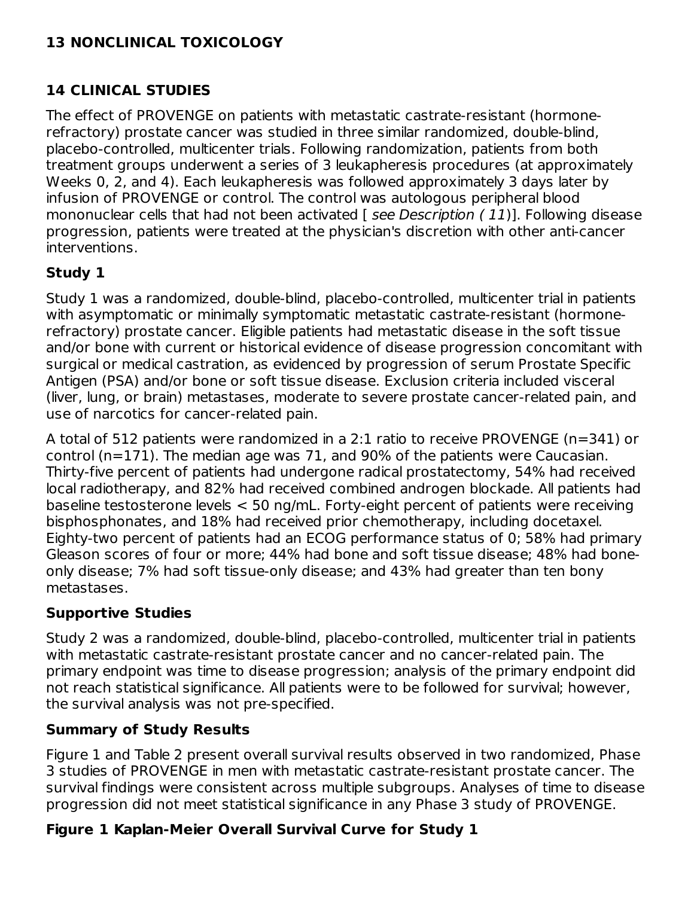## **13 NONCLINICAL TOXICOLOGY**

#### **14 CLINICAL STUDIES**

The effect of PROVENGE on patients with metastatic castrate-resistant (hormonerefractory) prostate cancer was studied in three similar randomized, double-blind, placebo-controlled, multicenter trials. Following randomization, patients from both treatment groups underwent a series of 3 leukapheresis procedures (at approximately Weeks 0, 2, and 4). Each leukapheresis was followed approximately 3 days later by infusion of PROVENGE or control. The control was autologous peripheral blood mononuclear cells that had not been activated [ see Description (11)]. Following disease progression, patients were treated at the physician's discretion with other anti-cancer interventions.

#### **Study 1**

Study 1 was a randomized, double-blind, placebo-controlled, multicenter trial in patients with asymptomatic or minimally symptomatic metastatic castrate-resistant (hormonerefractory) prostate cancer. Eligible patients had metastatic disease in the soft tissue and/or bone with current or historical evidence of disease progression concomitant with surgical or medical castration, as evidenced by progression of serum Prostate Specific Antigen (PSA) and/or bone or soft tissue disease. Exclusion criteria included visceral (liver, lung, or brain) metastases, moderate to severe prostate cancer-related pain, and use of narcotics for cancer-related pain.

A total of 512 patients were randomized in a 2:1 ratio to receive PROVENGE (n=341) or control (n=171). The median age was 71, and 90% of the patients were Caucasian. Thirty-five percent of patients had undergone radical prostatectomy, 54% had received local radiotherapy, and 82% had received combined androgen blockade. All patients had baseline testosterone levels < 50 ng/mL. Forty-eight percent of patients were receiving bisphosphonates, and 18% had received prior chemotherapy, including docetaxel. Eighty-two percent of patients had an ECOG performance status of 0; 58% had primary Gleason scores of four or more; 44% had bone and soft tissue disease; 48% had boneonly disease; 7% had soft tissue-only disease; and 43% had greater than ten bony metastases.

#### **Supportive Studies**

Study 2 was a randomized, double-blind, placebo-controlled, multicenter trial in patients with metastatic castrate-resistant prostate cancer and no cancer-related pain. The primary endpoint was time to disease progression; analysis of the primary endpoint did not reach statistical significance. All patients were to be followed for survival; however, the survival analysis was not pre-specified.

#### **Summary of Study Results**

Figure 1 and Table 2 present overall survival results observed in two randomized, Phase 3 studies of PROVENGE in men with metastatic castrate-resistant prostate cancer. The survival findings were consistent across multiple subgroups. Analyses of time to disease progression did not meet statistical significance in any Phase 3 study of PROVENGE.

## **Figure 1 Kaplan-Meier Overall Survival Curve for Study 1**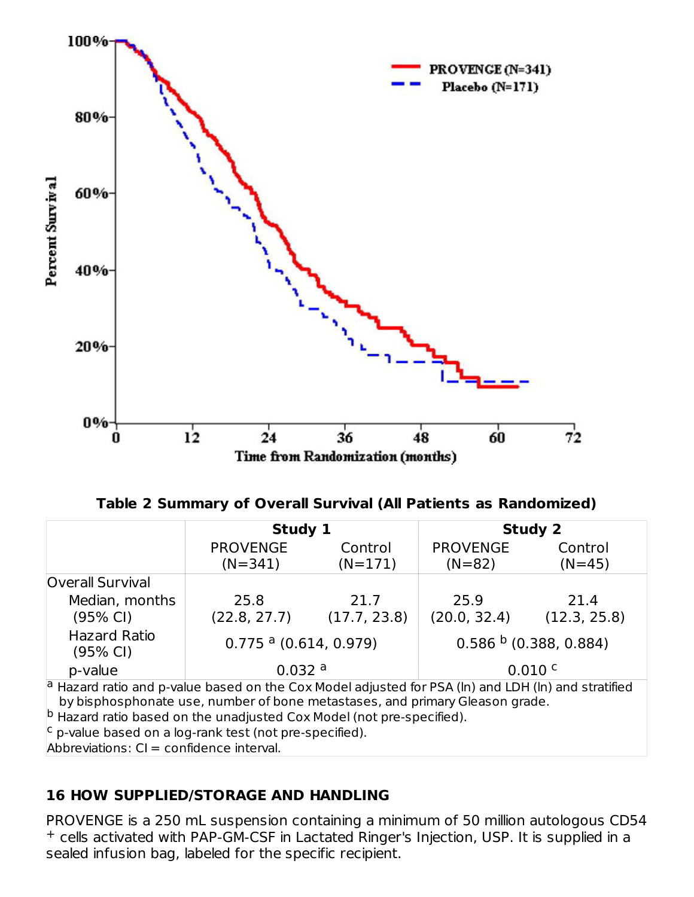

**Table 2 Summary of Overall Survival (All Patients as Randomized)**

|                                                                                                                                                                                         | Study 1                             |              |                 | <b>Study 2</b>          |  |
|-----------------------------------------------------------------------------------------------------------------------------------------------------------------------------------------|-------------------------------------|--------------|-----------------|-------------------------|--|
|                                                                                                                                                                                         | <b>PROVENGE</b>                     | Control      | <b>PROVENGE</b> | Control                 |  |
|                                                                                                                                                                                         | $(N=341)$                           | $(N=171)$    | $(N=82)$        | $(N=45)$                |  |
| Overall Survival                                                                                                                                                                        |                                     |              |                 |                         |  |
| Median, months                                                                                                                                                                          | 25.8                                | 21.7         | 25.9            | 21.4                    |  |
| (95% CI)                                                                                                                                                                                | (22.8, 27.7)                        | (17.7, 23.8) | (20.0, 32.4)    | (12.3, 25.8)            |  |
| <b>Hazard Ratio</b><br>(95% CI)                                                                                                                                                         | $0.775$ <sup>a</sup> (0.614, 0.979) |              |                 | $0.586b$ (0.388, 0.884) |  |
| p-value                                                                                                                                                                                 | 0.032a<br>0.010 c                   |              |                 |                         |  |
| $ a $ Hazard ratio and p-value based on the Cox Model adjusted for PSA (In) and LDH (In) and stratified<br>by bisphosphonate use, number of bone metastases, and primary Gleason grade. |                                     |              |                 |                         |  |
| $ b $ Hazard ratio based on the unadjusted Cox Model (not pre-specified).                                                                                                               |                                     |              |                 |                         |  |
| $\vert c \vert$ p-value based on a log-rank test (not pre-specified).                                                                                                                   |                                     |              |                 |                         |  |
| Abbreviations: CI = confidence interval.                                                                                                                                                |                                     |              |                 |                         |  |

#### **16 HOW SUPPLIED/STORAGE AND HANDLING**

PROVENGE is a 250 mL suspension containing a minimum of 50 million autologous CD54 <sup>+</sup> cells activated with PAP-GM-CSF in Lactated Ringer's Injection, USP. It is supplied in a sealed infusion bag, labeled for the specific recipient.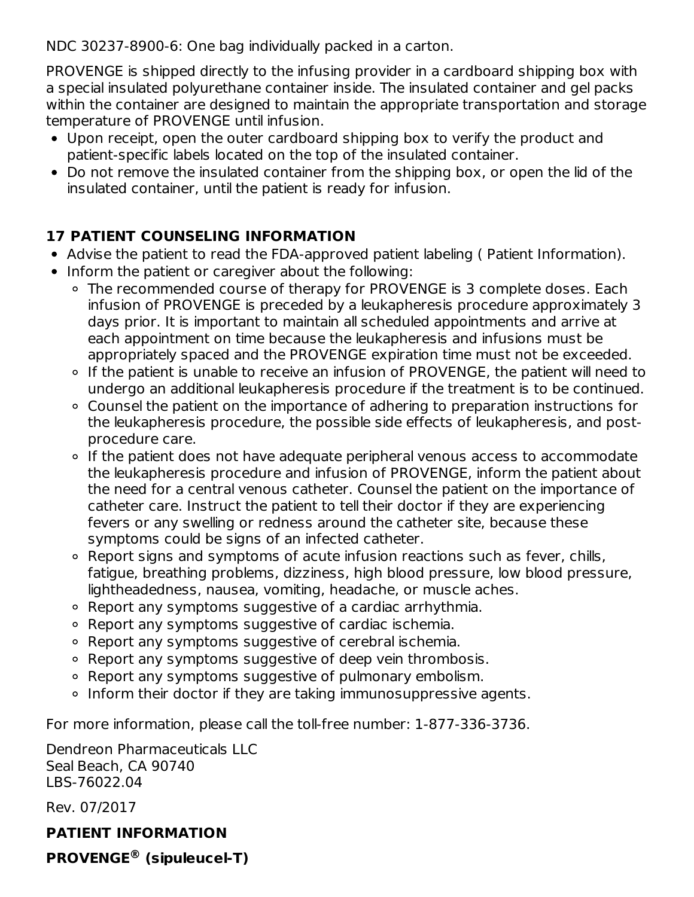NDC 30237-8900-6: One bag individually packed in a carton.

PROVENGE is shipped directly to the infusing provider in a cardboard shipping box with a special insulated polyurethane container inside. The insulated container and gel packs within the container are designed to maintain the appropriate transportation and storage temperature of PROVENGE until infusion.

- Upon receipt, open the outer cardboard shipping box to verify the product and patient-specific labels located on the top of the insulated container.
- Do not remove the insulated container from the shipping box, or open the lid of the insulated container, until the patient is ready for infusion.

## **17 PATIENT COUNSELING INFORMATION**

- Advise the patient to read the FDA-approved patient labeling ( Patient Information).
- Inform the patient or caregiver about the following:
	- The recommended course of therapy for PROVENGE is 3 complete doses. Each infusion of PROVENGE is preceded by a leukapheresis procedure approximately 3 days prior. It is important to maintain all scheduled appointments and arrive at each appointment on time because the leukapheresis and infusions must be appropriately spaced and the PROVENGE expiration time must not be exceeded.
	- o If the patient is unable to receive an infusion of PROVENGE, the patient will need to undergo an additional leukapheresis procedure if the treatment is to be continued.
	- Counsel the patient on the importance of adhering to preparation instructions for the leukapheresis procedure, the possible side effects of leukapheresis, and postprocedure care.
	- o If the patient does not have adequate peripheral venous access to accommodate the leukapheresis procedure and infusion of PROVENGE, inform the patient about the need for a central venous catheter. Counsel the patient on the importance of catheter care. Instruct the patient to tell their doctor if they are experiencing fevers or any swelling or redness around the catheter site, because these symptoms could be signs of an infected catheter.
	- Report signs and symptoms of acute infusion reactions such as fever, chills, fatigue, breathing problems, dizziness, high blood pressure, low blood pressure, lightheadedness, nausea, vomiting, headache, or muscle aches.
	- Report any symptoms suggestive of a cardiac arrhythmia.
	- Report any symptoms suggestive of cardiac ischemia.
	- Report any symptoms suggestive of cerebral ischemia.
	- Report any symptoms suggestive of deep vein thrombosis.
	- Report any symptoms suggestive of pulmonary embolism.
	- o Inform their doctor if they are taking immunosuppressive agents.

For more information, please call the toll-free number: 1-877-336-3736.

Dendreon Pharmaceuticals LLC Seal Beach, CA 90740 LBS-76022.04

Rev. 07/2017

## **PATIENT INFORMATION**

**PROVENGE® (sipuleucel-T)**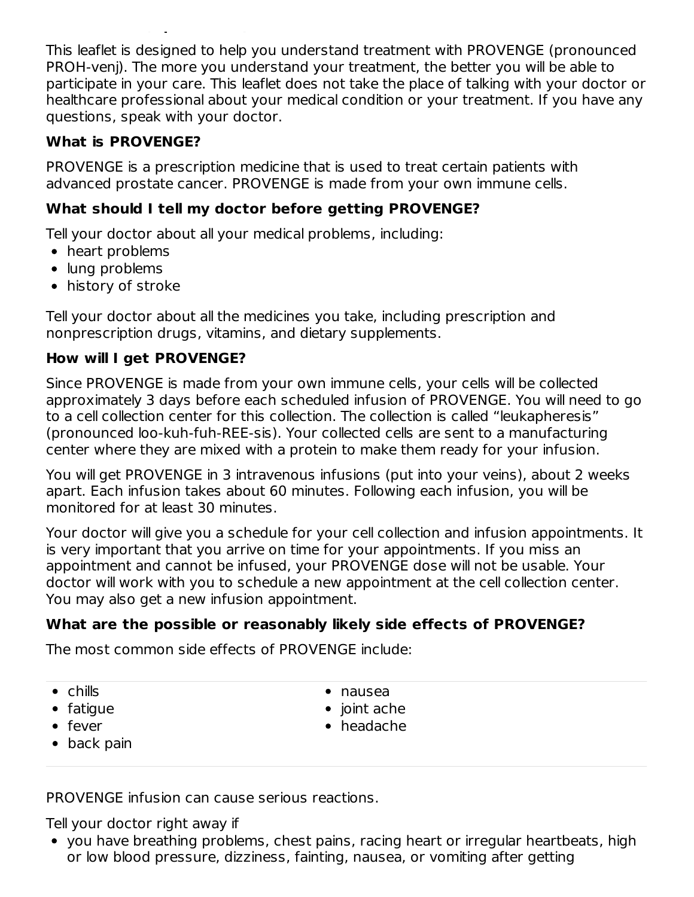This leaflet is designed to help you understand treatment with PROVENGE (pronounced PROH-venj). The more you understand your treatment, the better you will be able to participate in your care. This leaflet does not take the place of talking with your doctor or healthcare professional about your medical condition or your treatment. If you have any questions, speak with your doctor.

#### **What is PROVENGE?**

**PROVENGE (sipuleucel-T)**

PROVENGE is a prescription medicine that is used to treat certain patients with advanced prostate cancer. PROVENGE is made from your own immune cells.

#### **What should I tell my doctor before getting PROVENGE?**

Tell your doctor about all your medical problems, including:

- heart problems
- lung problems
- history of stroke

Tell your doctor about all the medicines you take, including prescription and nonprescription drugs, vitamins, and dietary supplements.

#### **How will I get PROVENGE?**

Since PROVENGE is made from your own immune cells, your cells will be collected approximately 3 days before each scheduled infusion of PROVENGE. You will need to go to a cell collection center for this collection. The collection is called "leukapheresis" (pronounced loo-kuh-fuh-REE-sis). Your collected cells are sent to a manufacturing center where they are mixed with a protein to make them ready for your infusion.

You will get PROVENGE in 3 intravenous infusions (put into your veins), about 2 weeks apart. Each infusion takes about 60 minutes. Following each infusion, you will be monitored for at least 30 minutes.

Your doctor will give you a schedule for your cell collection and infusion appointments. It is very important that you arrive on time for your appointments. If you miss an appointment and cannot be infused, your PROVENGE dose will not be usable. Your doctor will work with you to schedule a new appointment at the cell collection center. You may also get a new infusion appointment.

## **What are the possible or reasonably likely side effects of PROVENGE?**

The most common side effects of PROVENGE include:

| hills: |  |
|--------|--|
|--------|--|

- fatigue
- fever
- back pain

nausea

- $\bullet$  joint ache
- headache
- PROVENGE infusion can cause serious reactions.

Tell your doctor right away if

you have breathing problems, chest pains, racing heart or irregular heartbeats, high or low blood pressure, dizziness, fainting, nausea, or vomiting after getting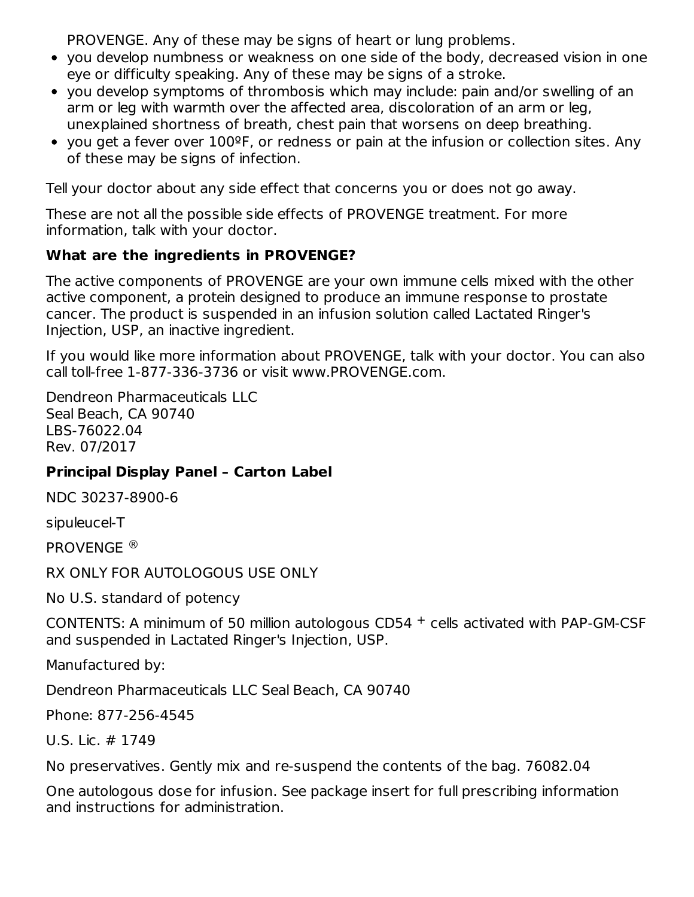PROVENGE. Any of these may be signs of heart or lung problems.

- you develop numbness or weakness on one side of the body, decreased vision in one eye or difficulty speaking. Any of these may be signs of a stroke.
- you develop symptoms of thrombosis which may include: pain and/or swelling of an arm or leg with warmth over the affected area, discoloration of an arm or leg, unexplained shortness of breath, chest pain that worsens on deep breathing.
- you get a fever over 100ºF, or redness or pain at the infusion or collection sites. Any of these may be signs of infection.

Tell your doctor about any side effect that concerns you or does not go away.

These are not all the possible side effects of PROVENGE treatment. For more information, talk with your doctor.

#### **What are the ingredients in PROVENGE?**

The active components of PROVENGE are your own immune cells mixed with the other active component, a protein designed to produce an immune response to prostate cancer. The product is suspended in an infusion solution called Lactated Ringer's Injection, USP, an inactive ingredient.

If you would like more information about PROVENGE, talk with your doctor. You can also call toll-free 1-877-336-3736 or visit www.PROVENGE.com.

Dendreon Pharmaceuticals LLC Seal Beach, CA 90740 LBS-76022.04 Rev. 07/2017

## **Principal Display Panel – Carton Label**

NDC 30237-8900-6

sipuleucel-T

PROVENGE ®

RX ONLY FOR AUTOLOGOUS USE ONLY

No U.S. standard of potency

CONTENTS: A minimum of 50 million autologous CD54  $+$  cells activated with PAP-GM-CSF and suspended in Lactated Ringer's Injection, USP.

Manufactured by:

Dendreon Pharmaceuticals LLC Seal Beach, CA 90740

Phone: 877-256-4545

U.S. Lic. # 1749

No preservatives. Gently mix and re-suspend the contents of the bag. 76082.04

One autologous dose for infusion. See package insert for full prescribing information and instructions for administration.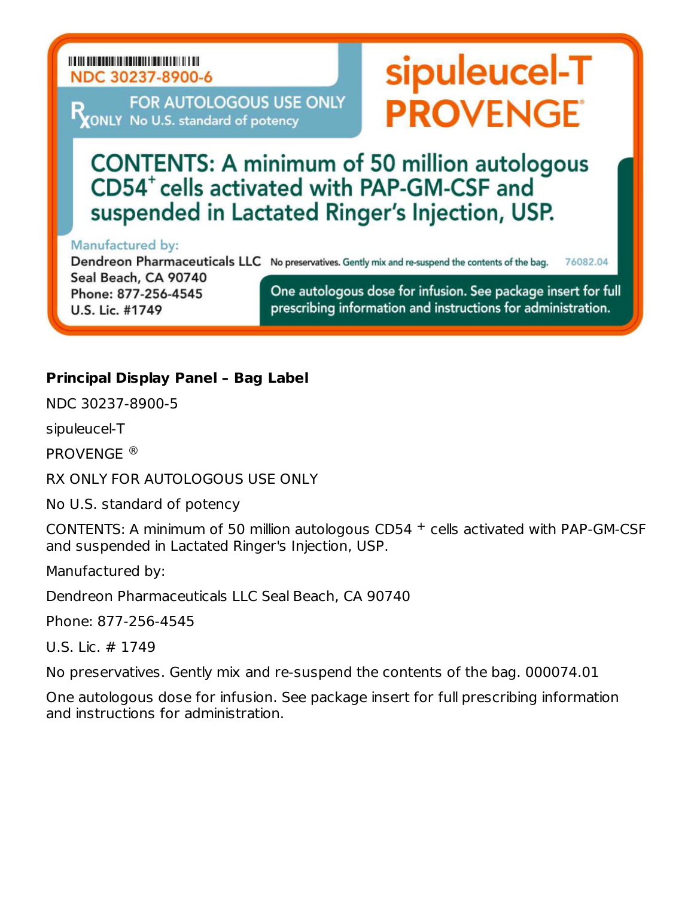#### NDC 30237-8900-6

FOR AUTOLOGOUS USE ONLY MONLY No U.S. standard of potency

## **CONTENTS: A minimum of 50 million autologous** CD54<sup>+</sup> cells activated with PAP-GM-CSF and suspended in Lactated Ringer's Injection, USP.

#### Manufactured by:

Dendreon Pharmaceuticals LLC No preservatives. Gently mix and re-suspend the contents of the bag. 76082.04

Seal Beach, CA 90740 Phone: 877-256-4545 U.S. Lic. #1749

One autologous dose for infusion. See package insert for full prescribing information and instructions for administration.

sipuleucel-T

**PROVENGE®** 

#### **Principal Display Panel – Bag Label**

NDC 30237-8900-5

sipuleucel-T

PROVENGE ®

RX ONLY FOR AUTOLOGOUS USE ONLY

No U.S. standard of potency

CONTENTS: A minimum of 50 million autologous CD54  $+$  cells activated with PAP-GM-CSF and suspended in Lactated Ringer's Injection, USP.

Manufactured by:

Dendreon Pharmaceuticals LLC Seal Beach, CA 90740

Phone: 877-256-4545

U.S. Lic. # 1749

No preservatives. Gently mix and re-suspend the contents of the bag. 000074.01

One autologous dose for infusion. See package insert for full prescribing information and instructions for administration.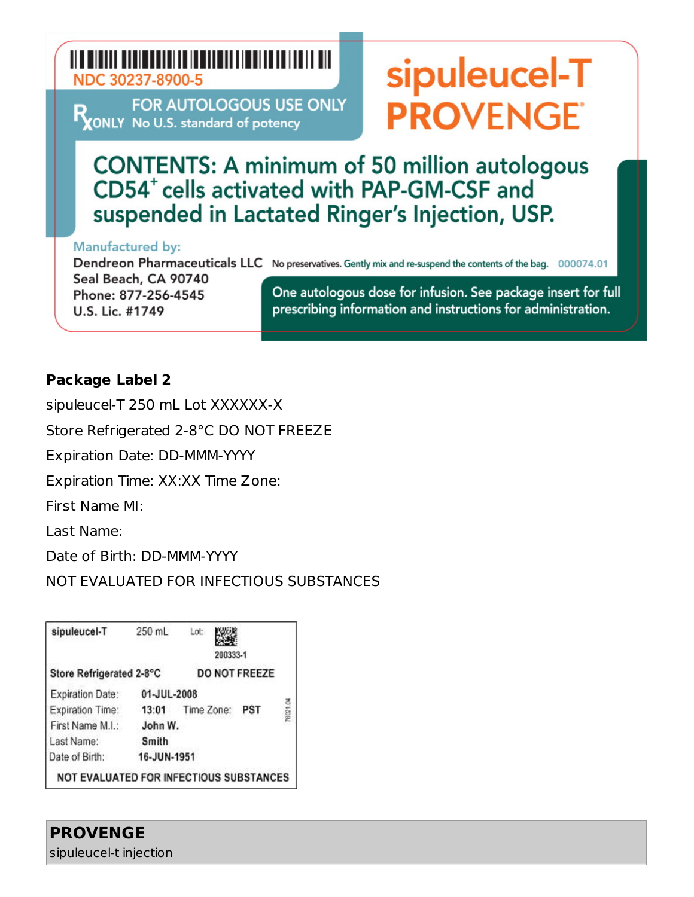## NDC 30237-8900-5

FOR AUTOLOGOUS USE ONLY RONLY No U.S. standard of potency

# sipuleucel-T **PROVENGE**

**CONTENTS: A minimum of 50 million autologous** CD54<sup>+</sup> cells activated with PAP-GM-CSF and suspended in Lactated Ringer's Injection, USP.

#### **Manufactured by:**

Dendreon Pharmaceuticals LLC No preservatives. Gently mix and re-suspend the contents of the bag. 000074.01

Seal Beach, CA 90740 Phone: 877-256-4545 U.S. Lic. #1749

One autologous dose for infusion. See package insert for full prescribing information and instructions for administration.

#### **Package Label 2**

sipuleucel-T 250 mL Lot XXXXXX-X

Store Refrigerated 2-8°C DO NOT FREEZE

Expiration Date: DD-MMM-YYYY

Expiration Time: XX:XX Time Zone:

First Name MI:

Last Name:

Date of Birth: DD-MMM-YYYY

NOT EVALUATED FOR INFECTIOUS SUBSTANCES

| sipuleucel-T                            | 250 mL      | Lot        | 200333-1 |               |                 |
|-----------------------------------------|-------------|------------|----------|---------------|-----------------|
| Store Refrigerated 2-8°C                |             |            |          | DO NOT FREEZE |                 |
| Expiration Date:                        | 01-JUL-2008 |            |          |               |                 |
| <b>Expiration Time:</b>                 | 13:01       | Time Zone: |          | PST           | <b>78021.04</b> |
| First Name M.I.:                        | John W.     |            |          |               |                 |
| Last Name:                              | Smith       |            |          |               |                 |
| Date of Birth:                          | 16-JUN-1951 |            |          |               |                 |
| NOT EVALUATED FOR INFECTIOUS SUBSTANCES |             |            |          |               |                 |

#### **PROVENGE** sipuleucel-t injection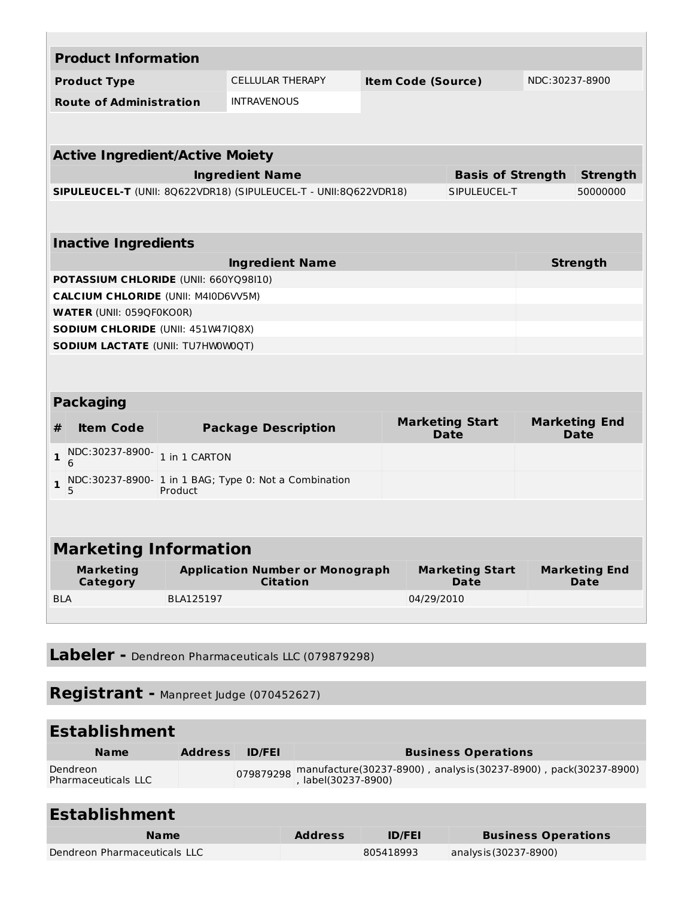| <b>Product Information</b>                 |               |                                                                  |  |                                       |  |                                     |
|--------------------------------------------|---------------|------------------------------------------------------------------|--|---------------------------------------|--|-------------------------------------|
| <b>Product Type</b>                        |               | <b>CELLULAR THERAPY</b><br><b>Item Code (Source)</b>             |  |                                       |  | NDC:30237-8900                      |
| <b>Route of Administration</b>             |               | <b>INTRAVENOUS</b>                                               |  |                                       |  |                                     |
|                                            |               |                                                                  |  |                                       |  |                                     |
| <b>Active Ingredient/Active Moiety</b>     |               |                                                                  |  |                                       |  |                                     |
|                                            |               | <b>Ingredient Name</b>                                           |  | <b>Basis of Strength</b>              |  | <b>Strength</b>                     |
|                                            |               | SIPULEUCEL-T (UNII: 8Q622VDR18) (SIPULEUCEL-T - UNII:8Q622VDR18) |  | SIPULEUCEL-T                          |  | 50000000                            |
|                                            |               |                                                                  |  |                                       |  |                                     |
| <b>Inactive Ingredients</b>                |               |                                                                  |  |                                       |  |                                     |
|                                            |               | <b>Ingredient Name</b>                                           |  |                                       |  | <b>Strength</b>                     |
| POTASSIUM CHLORIDE (UNII: 660YQ98I10)      |               |                                                                  |  |                                       |  |                                     |
| <b>CALCIUM CHLORIDE (UNII: M4I0D6VV5M)</b> |               |                                                                  |  |                                       |  |                                     |
| <b>WATER (UNII: 059QF0KO0R)</b>            |               |                                                                  |  |                                       |  |                                     |
| SODIUM CHLORIDE (UNII: 451W47IQ8X)         |               |                                                                  |  |                                       |  |                                     |
| <b>SODIUM LACTATE (UNII: TU7HW0W0QT)</b>   |               |                                                                  |  |                                       |  |                                     |
|                                            |               |                                                                  |  |                                       |  |                                     |
| <b>Packaging</b>                           |               |                                                                  |  |                                       |  |                                     |
| <b>Item Code</b><br>#                      |               | <b>Package Description</b>                                       |  | <b>Marketing Start</b><br><b>Date</b> |  | <b>Marketing End</b><br><b>Date</b> |
| NDC:30237-8900-<br>$\mathbf{1}$<br>6       | 1 in 1 CARTON |                                                                  |  |                                       |  |                                     |
| $\mathbf{1}$<br>5                          | Product       | NDC:30237-8900- 1 in 1 BAG; Type 0: Not a Combination            |  |                                       |  |                                     |
|                                            |               |                                                                  |  |                                       |  |                                     |
| <b>Marketing Information</b>               |               |                                                                  |  |                                       |  |                                     |
| <b>Marketing</b><br>Category               |               | <b>Application Number or Monograph</b><br><b>Citation</b>        |  | <b>Marketing Start</b><br><b>Date</b> |  | <b>Marketing End</b><br><b>Date</b> |
| <b>BLA</b>                                 | BLA125197     |                                                                  |  | 04/29/2010                            |  |                                     |
|                                            |               |                                                                  |  |                                       |  |                                     |
|                                            |               |                                                                  |  |                                       |  |                                     |

**Labeler -** Dendreon Pharmaceuticals LLC (079879298)

**Registrant -** Manpreet Judge (070452627)

#### **Establishment**

| <b>Name</b>                            | <b>Address</b> | <b>ID/FEI</b> | <b>Business Operations</b>                                                                                   |
|----------------------------------------|----------------|---------------|--------------------------------------------------------------------------------------------------------------|
| Dendreon<br><b>Pharmaceuticals LLC</b> |                |               | 079879298 manufacture(30237-8900) , analysis(30237-8900) , pack(30237-8900)<br>079879298 , label(30237-8900) |

## **Establishment**

| <b>Name</b>                  | <b>Address</b> | <b>ID/FEI</b> | <b>Business Operations</b> |
|------------------------------|----------------|---------------|----------------------------|
| Dendreon Pharmaceuticals LLC |                | 805418993     | analys is (30237-8900)     |